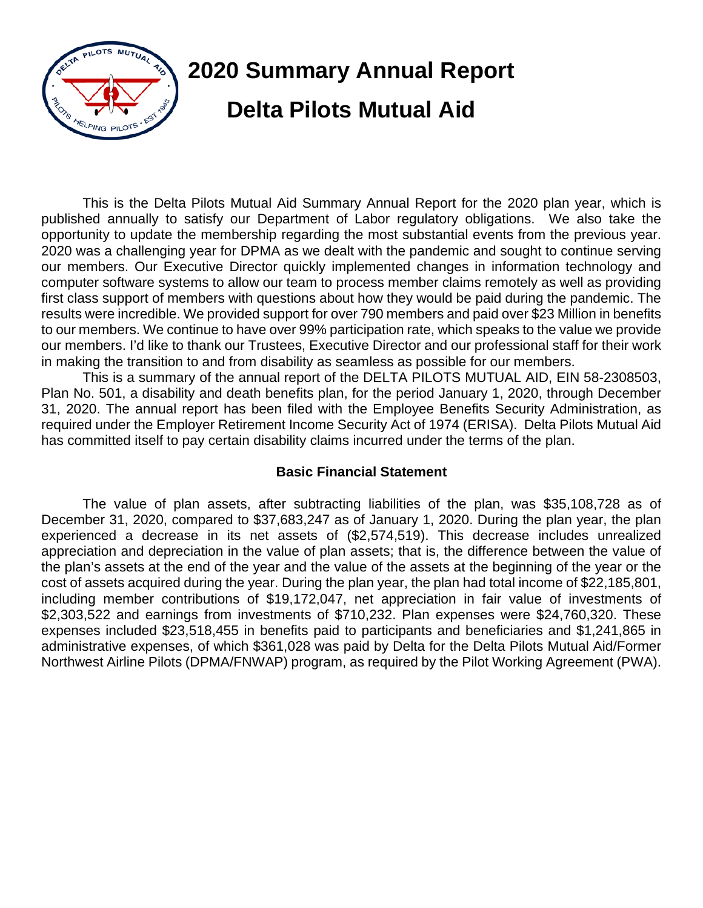

This is the Delta Pilots Mutual Aid Summary Annual Report for the 2020 plan year, which is published annually to satisfy our Department of Labor regulatory obligations. We also take the opportunity to update the membership regarding the most substantial events from the previous year. 2020 was a challenging year for DPMA as we dealt with the pandemic and sought to continue serving our members. Our Executive Director quickly implemented changes in information technology and computer software systems to allow our team to process member claims remotely as well as providing first class support of members with questions about how they would be paid during the pandemic. The results were incredible. We provided support for over 790 members and paid over \$23 Million in benefits to our members. We continue to have over 99% participation rate, which speaks to the value we provide our members. I'd like to thank our Trustees, Executive Director and our professional staff for their work in making the transition to and from disability as seamless as possible for our members.

This is a summary of the annual report of the DELTA PILOTS MUTUAL AID, EIN 58-2308503, Plan No. 501, a disability and death benefits plan, for the period January 1, 2020, through December 31, 2020. The annual report has been filed with the Employee Benefits Security Administration, as required under the Employer Retirement Income Security Act of 1974 (ERISA). Delta Pilots Mutual Aid has committed itself to pay certain disability claims incurred under the terms of the plan.

## **Basic Financial Statement**

The value of plan assets, after subtracting liabilities of the plan, was \$35,108,728 as of December 31, 2020, compared to \$37,683,247 as of January 1, 2020. During the plan year, the plan experienced a decrease in its net assets of (\$2,574,519). This decrease includes unrealized appreciation and depreciation in the value of plan assets; that is, the difference between the value of the plan's assets at the end of the year and the value of the assets at the beginning of the year or the cost of assets acquired during the year. During the plan year, the plan had total income of \$22,185,801, including member contributions of \$19,172,047, net appreciation in fair value of investments of \$2,303,522 and earnings from investments of \$710,232. Plan expenses were \$24,760,320. These expenses included \$23,518,455 in benefits paid to participants and beneficiaries and \$1,241,865 in administrative expenses, of which \$361,028 was paid by Delta for the Delta Pilots Mutual Aid/Former Northwest Airline Pilots (DPMA/FNWAP) program, as required by the Pilot Working Agreement (PWA).